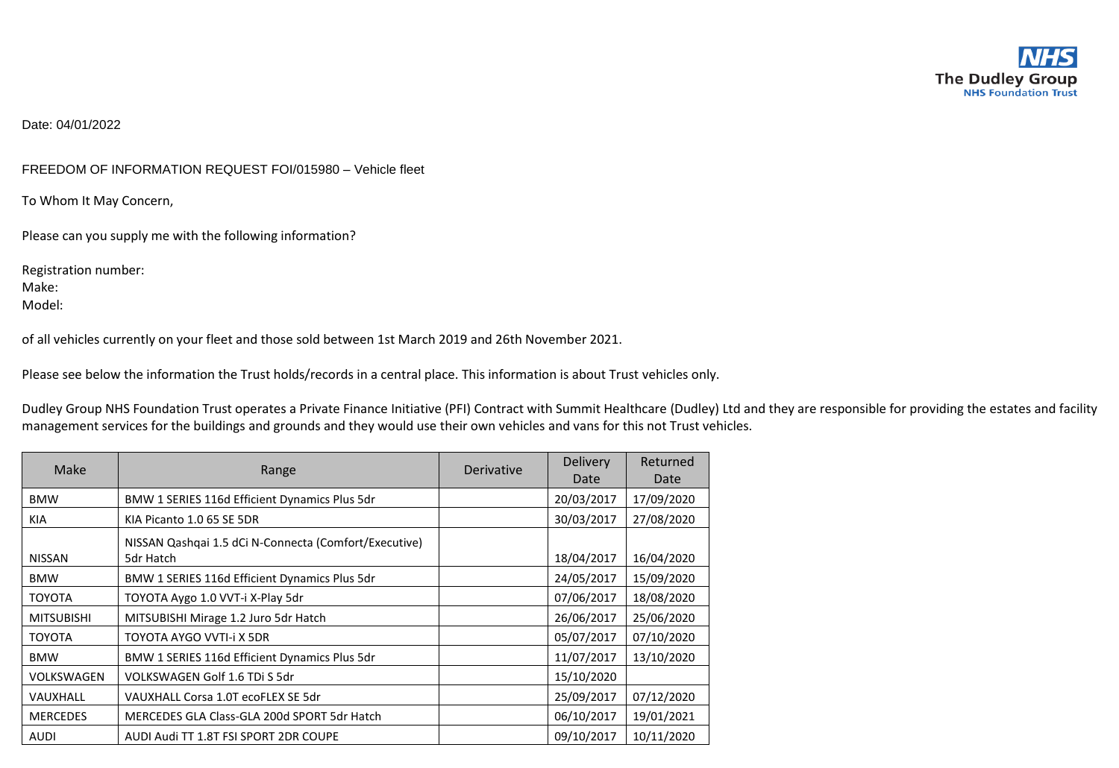Date: 04/01/2022

## FREEDOM OF INFORMATION REQUEST FOI/015980 – Vehicle fleet

To Whom It May Concern,

Please can you supply me with the following information?

Registration number: Make: Model:

of all vehicles currently on your fleet and those sold between 1st March 2019 and 26th November 2021.

Please see below the information the Trust holds/records in a central place. This information is about Trust vehicles only.

Dudley Group NHS Foundation Trust operates a Private Finance Initiative (PFI) Contract with Summit Healthcare (Dudley) Ltd and they are responsible for providing the estates and facility management services for the buildings and grounds and they would use their own vehicles and vans for this not Trust vehicles.

| Make              | Range                                                              | Derivative | <b>Delivery</b><br>Date | Returned<br>Date |
|-------------------|--------------------------------------------------------------------|------------|-------------------------|------------------|
| <b>BMW</b>        | BMW 1 SERIES 116d Efficient Dynamics Plus 5dr                      |            | 20/03/2017              | 17/09/2020       |
| KIA               | KIA Picanto 1.0 65 SE 5DR                                          |            | 30/03/2017              | 27/08/2020       |
| <b>NISSAN</b>     | NISSAN Qashqai 1.5 dCi N-Connecta (Comfort/Executive)<br>5dr Hatch |            | 18/04/2017              | 16/04/2020       |
| <b>BMW</b>        | BMW 1 SERIES 116d Efficient Dynamics Plus 5dr                      |            | 24/05/2017              | 15/09/2020       |
| <b>TOYOTA</b>     | TOYOTA Aygo 1.0 VVT-i X-Play 5dr                                   |            | 07/06/2017              | 18/08/2020       |
| <b>MITSUBISHI</b> | MITSUBISHI Mirage 1.2 Juro 5dr Hatch                               |            | 26/06/2017              | 25/06/2020       |
| <b>TOYOTA</b>     | TOYOTA AYGO VVTI-i X 5DR                                           |            | 05/07/2017              | 07/10/2020       |
| <b>BMW</b>        | BMW 1 SERIES 116d Efficient Dynamics Plus 5dr                      |            | 11/07/2017              | 13/10/2020       |
| VOLKSWAGEN        | VOLKSWAGEN Golf 1.6 TDi S 5dr                                      |            | 15/10/2020              |                  |
| VAUXHALL          | VAUXHALL Corsa 1.0T ecoFLEX SE 5dr                                 |            | 25/09/2017              | 07/12/2020       |
| <b>MERCEDES</b>   | MERCEDES GLA Class-GLA 200d SPORT 5dr Hatch                        |            | 06/10/2017              | 19/01/2021       |
| AUDI              | AUDI Audi TT 1.8T FSI SPORT 2DR COUPE                              |            | 09/10/2017              | 10/11/2020       |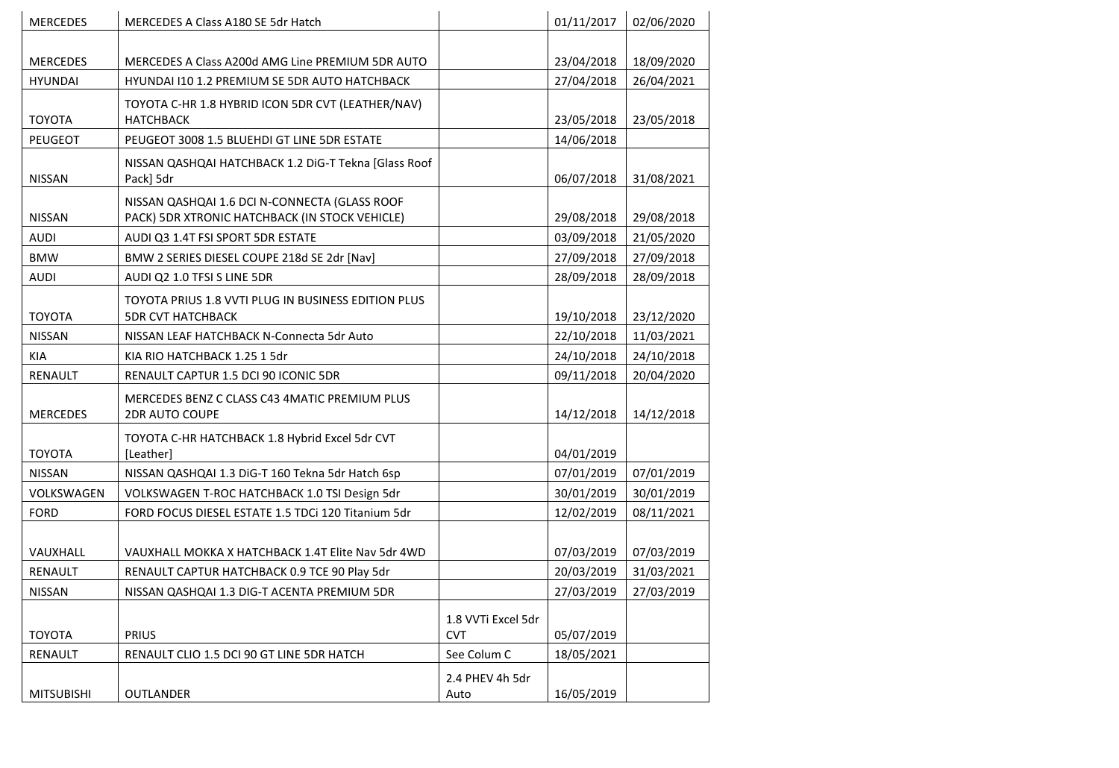| <b>MERCEDES</b>   | MERCEDES A Class A180 SE 5dr Hatch                                                              |                                  | 01/11/2017 | 02/06/2020 |
|-------------------|-------------------------------------------------------------------------------------------------|----------------------------------|------------|------------|
|                   |                                                                                                 |                                  |            |            |
| <b>MERCEDES</b>   | MERCEDES A Class A200d AMG Line PREMIUM 5DR AUTO                                                |                                  | 23/04/2018 | 18/09/2020 |
| <b>HYUNDAI</b>    | HYUNDAI I10 1.2 PREMIUM SE 5DR AUTO HATCHBACK                                                   |                                  | 27/04/2018 | 26/04/2021 |
| <b>TOYOTA</b>     | TOYOTA C-HR 1.8 HYBRID ICON 5DR CVT (LEATHER/NAV)<br><b>HATCHBACK</b>                           |                                  | 23/05/2018 | 23/05/2018 |
| <b>PEUGEOT</b>    | PEUGEOT 3008 1.5 BLUEHDI GT LINE 5DR ESTATE                                                     |                                  | 14/06/2018 |            |
| <b>NISSAN</b>     | NISSAN QASHQAI HATCHBACK 1.2 DiG-T Tekna [Glass Roof<br>Pack] 5dr                               |                                  | 06/07/2018 | 31/08/2021 |
| <b>NISSAN</b>     | NISSAN QASHQAI 1.6 DCI N-CONNECTA (GLASS ROOF<br>PACK) 5DR XTRONIC HATCHBACK (IN STOCK VEHICLE) |                                  | 29/08/2018 | 29/08/2018 |
| <b>AUDI</b>       | AUDI Q3 1.4T FSI SPORT 5DR ESTATE                                                               |                                  | 03/09/2018 | 21/05/2020 |
| <b>BMW</b>        | BMW 2 SERIES DIESEL COUPE 218d SE 2dr [Nav]                                                     |                                  | 27/09/2018 | 27/09/2018 |
| <b>AUDI</b>       | AUDI Q2 1.0 TFSI S LINE 5DR                                                                     |                                  | 28/09/2018 | 28/09/2018 |
| <b>TOYOTA</b>     | TOYOTA PRIUS 1.8 VVTI PLUG IN BUSINESS EDITION PLUS<br><b>5DR CVT HATCHBACK</b>                 |                                  | 19/10/2018 | 23/12/2020 |
| <b>NISSAN</b>     | NISSAN LEAF HATCHBACK N-Connecta 5dr Auto                                                       |                                  | 22/10/2018 | 11/03/2021 |
| KIA               | KIA RIO HATCHBACK 1.25 1 5dr                                                                    |                                  | 24/10/2018 | 24/10/2018 |
| RENAULT           | RENAULT CAPTUR 1.5 DCI 90 ICONIC 5DR                                                            |                                  | 09/11/2018 | 20/04/2020 |
| <b>MERCEDES</b>   | MERCEDES BENZ C CLASS C43 4MATIC PREMIUM PLUS<br><b>2DR AUTO COUPE</b>                          |                                  | 14/12/2018 | 14/12/2018 |
| <b>TOYOTA</b>     | TOYOTA C-HR HATCHBACK 1.8 Hybrid Excel 5dr CVT<br>[Leather]                                     |                                  | 04/01/2019 |            |
| <b>NISSAN</b>     | NISSAN QASHQAI 1.3 DiG-T 160 Tekna 5dr Hatch 6sp                                                |                                  | 07/01/2019 | 07/01/2019 |
| VOLKSWAGEN        | VOLKSWAGEN T-ROC HATCHBACK 1.0 TSI Design 5dr                                                   |                                  | 30/01/2019 | 30/01/2019 |
| <b>FORD</b>       | FORD FOCUS DIESEL ESTATE 1.5 TDCi 120 Titanium 5dr                                              |                                  | 12/02/2019 | 08/11/2021 |
| VAUXHALL          | VAUXHALL MOKKA X HATCHBACK 1.4T Elite Nav 5dr 4WD                                               |                                  | 07/03/2019 | 07/03/2019 |
| RENAULT           | RENAULT CAPTUR HATCHBACK 0.9 TCE 90 Play 5dr                                                    |                                  | 20/03/2019 | 31/03/2021 |
| <b>NISSAN</b>     | NISSAN QASHQAI 1.3 DIG-T ACENTA PREMIUM 5DR                                                     |                                  | 27/03/2019 | 27/03/2019 |
| <b>TOYOTA</b>     | <b>PRIUS</b>                                                                                    | 1.8 VVTi Excel 5dr<br><b>CVT</b> | 05/07/2019 |            |
| RENAULT           |                                                                                                 | See Colum C                      | 18/05/2021 |            |
|                   | RENAULT CLIO 1.5 DCI 90 GT LINE 5DR HATCH                                                       |                                  |            |            |
| <b>MITSUBISHI</b> | <b>OUTLANDER</b>                                                                                | 2.4 PHEV 4h 5dr<br>Auto          | 16/05/2019 |            |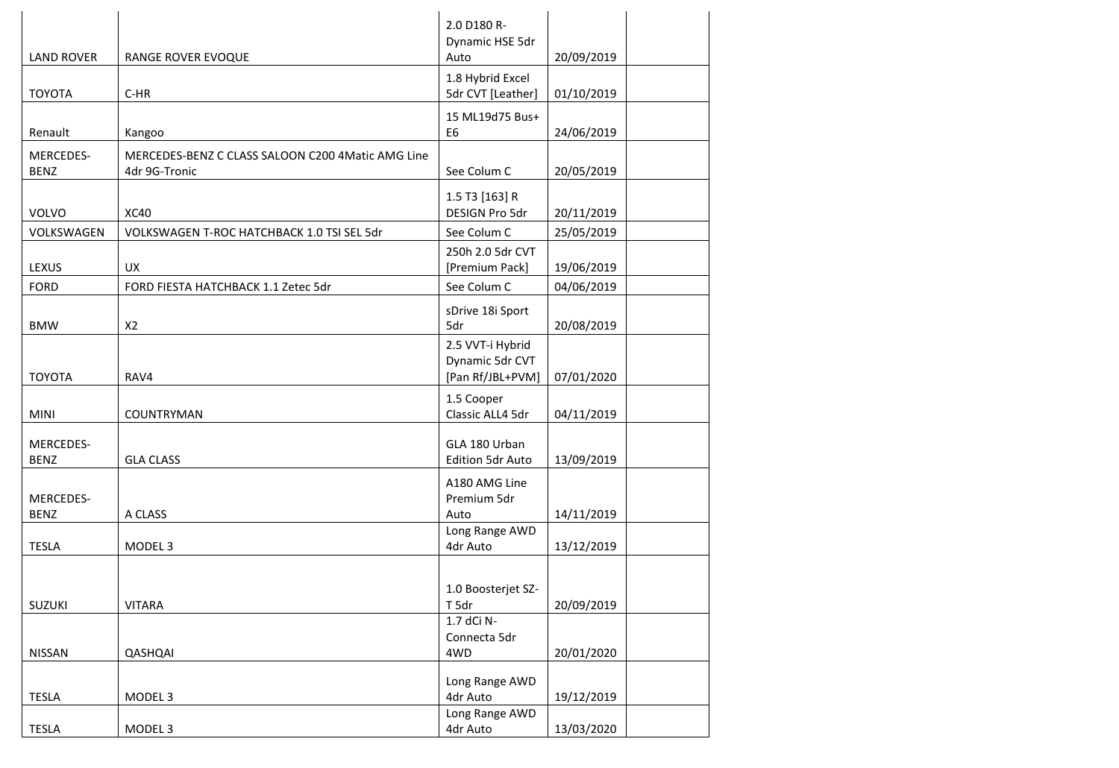|                                 |                                                                    | 2.0 D180 R-<br>Dynamic HSE 5dr                          |            |
|---------------------------------|--------------------------------------------------------------------|---------------------------------------------------------|------------|
| <b>LAND ROVER</b>               | RANGE ROVER EVOQUE                                                 | Auto                                                    | 20/09/2019 |
| <b>TOYOTA</b>                   | $C-HR$                                                             | 1.8 Hybrid Excel<br>5dr CVT [Leather]                   | 01/10/2019 |
| Renault                         | Kangoo                                                             | 15 ML19d75 Bus+<br>E <sub>6</sub>                       | 24/06/2019 |
| MERCEDES-<br><b>BENZ</b>        | MERCEDES-BENZ C CLASS SALOON C200 4Matic AMG Line<br>4dr 9G-Tronic | See Colum C                                             | 20/05/2019 |
| <b>VOLVO</b>                    | <b>XC40</b>                                                        | 1.5 T3 [163] R<br>DESIGN Pro 5dr                        | 20/11/2019 |
| VOLKSWAGEN                      | VOLKSWAGEN T-ROC HATCHBACK 1.0 TSI SEL 5dr                         | See Colum C                                             | 25/05/2019 |
| LEXUS                           | <b>UX</b>                                                          | 250h 2.0 5dr CVT<br>[Premium Pack]                      | 19/06/2019 |
| <b>FORD</b>                     | FORD FIESTA HATCHBACK 1.1 Zetec 5dr                                | See Colum C                                             | 04/06/2019 |
| <b>BMW</b>                      | X <sub>2</sub>                                                     | sDrive 18i Sport<br>5dr                                 | 20/08/2019 |
| <b>TOYOTA</b>                   | RAV4                                                               | 2.5 VVT-i Hybrid<br>Dynamic 5dr CVT<br>[Pan Rf/JBL+PVM] | 07/01/2020 |
| <b>MINI</b>                     | COUNTRYMAN                                                         | 1.5 Cooper<br>Classic ALL4 5dr                          | 04/11/2019 |
| MERCEDES-<br><b>BENZ</b>        | <b>GLA CLASS</b>                                                   | GLA 180 Urban<br><b>Edition 5dr Auto</b>                | 13/09/2019 |
| <b>MERCEDES-</b><br><b>BENZ</b> | A CLASS                                                            | A180 AMG Line<br>Premium 5dr<br>Auto                    | 14/11/2019 |
| <b>TESLA</b>                    | MODEL <sub>3</sub>                                                 | Long Range AWD<br>4dr Auto                              | 13/12/2019 |
| SUZUKI                          | <b>VITARA</b>                                                      | 1.0 Boosterjet SZ-<br>T 5dr                             | 20/09/2019 |
| <b>NISSAN</b>                   | QASHQAI                                                            | 1.7 dCi N-<br>Connecta 5dr<br>4WD                       | 20/01/2020 |
| <b>TESLA</b>                    | MODEL <sub>3</sub>                                                 | Long Range AWD<br>4dr Auto                              | 19/12/2019 |
| <b>TESLA</b>                    | MODEL <sub>3</sub>                                                 | Long Range AWD<br>4dr Auto                              | 13/03/2020 |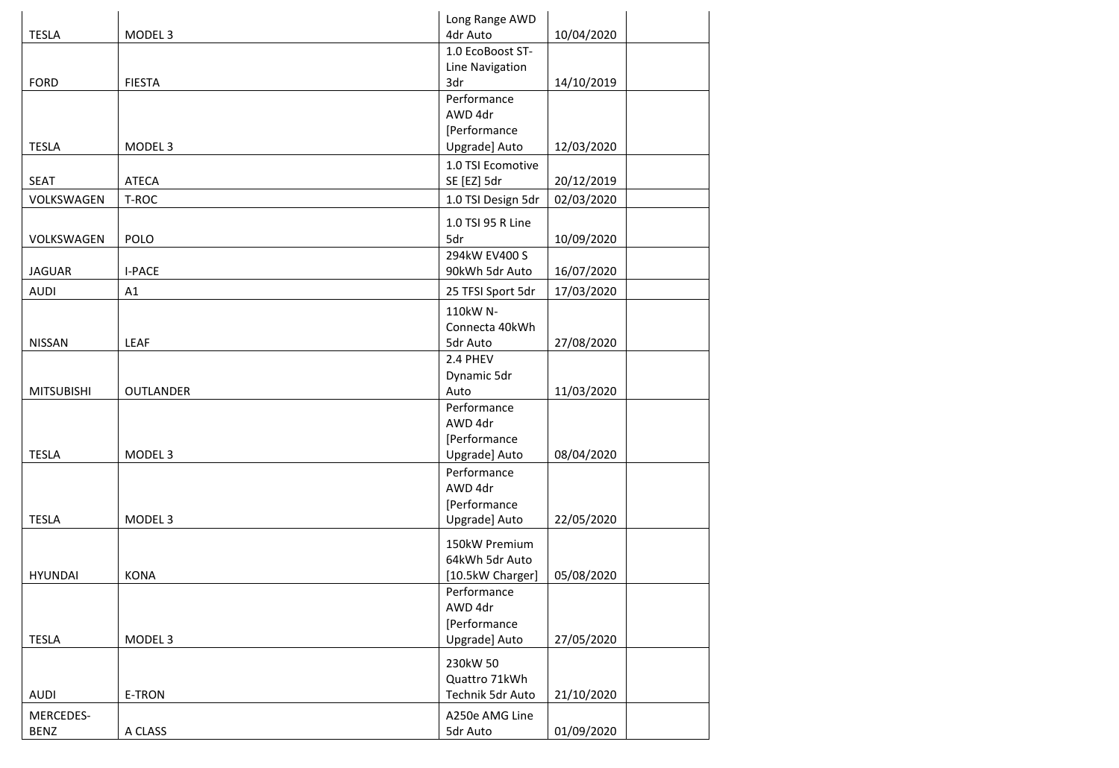|                   |                    | Long Range AWD     |            |
|-------------------|--------------------|--------------------|------------|
| <b>TESLA</b>      | MODEL <sub>3</sub> | 4dr Auto           | 10/04/2020 |
|                   |                    | 1.0 EcoBoost ST-   |            |
|                   |                    | Line Navigation    |            |
| <b>FORD</b>       | <b>FIESTA</b>      | 3dr                | 14/10/2019 |
|                   |                    | Performance        |            |
|                   |                    | AWD 4dr            |            |
|                   |                    | [Performance       |            |
| <b>TESLA</b>      | MODEL <sub>3</sub> | Upgrade] Auto      | 12/03/2020 |
|                   |                    | 1.0 TSI Ecomotive  |            |
| <b>SEAT</b>       | <b>ATECA</b>       | SE [EZ] 5dr        | 20/12/2019 |
| VOLKSWAGEN        | T-ROC              | 1.0 TSI Design 5dr | 02/03/2020 |
|                   |                    | 1.0 TSI 95 R Line  |            |
| VOLKSWAGEN        | POLO               | 5dr                | 10/09/2020 |
|                   |                    | 294kW EV400 S      |            |
| <b>JAGUAR</b>     | <b>I-PACE</b>      | 90kWh 5dr Auto     | 16/07/2020 |
| <b>AUDI</b>       | A1                 | 25 TFSI Sport 5dr  | 17/03/2020 |
|                   |                    | 110kW N-           |            |
|                   |                    | Connecta 40kWh     |            |
| <b>NISSAN</b>     | LEAF               | 5dr Auto           | 27/08/2020 |
|                   |                    | 2.4 PHEV           |            |
|                   |                    | Dynamic 5dr        |            |
| <b>MITSUBISHI</b> | <b>OUTLANDER</b>   | Auto               | 11/03/2020 |
|                   |                    | Performance        |            |
|                   |                    | AWD 4dr            |            |
|                   |                    | [Performance       |            |
| <b>TESLA</b>      | MODEL <sub>3</sub> | Upgrade] Auto      | 08/04/2020 |
|                   |                    | Performance        |            |
|                   |                    | AWD 4dr            |            |
| <b>TESLA</b>      | MODEL <sub>3</sub> | [Performance       | 22/05/2020 |
|                   |                    | Upgrade] Auto      |            |
|                   |                    | 150kW Premium      |            |
|                   |                    | 64kWh 5dr Auto     |            |
| <b>HYUNDAI</b>    | <b>KONA</b>        | [10.5kW Charger]   | 05/08/2020 |
|                   |                    | Performance        |            |
|                   |                    | AWD 4dr            |            |
|                   |                    | [Performance       |            |
| <b>TESLA</b>      | MODEL <sub>3</sub> | Upgrade] Auto      | 27/05/2020 |
|                   |                    | 230kW 50           |            |
|                   |                    | Quattro 71kWh      |            |
| <b>AUDI</b>       | E-TRON             | Technik 5dr Auto   | 21/10/2020 |
| MERCEDES-         |                    | A250e AMG Line     |            |
| <b>BENZ</b>       | A CLASS            | 5dr Auto           | 01/09/2020 |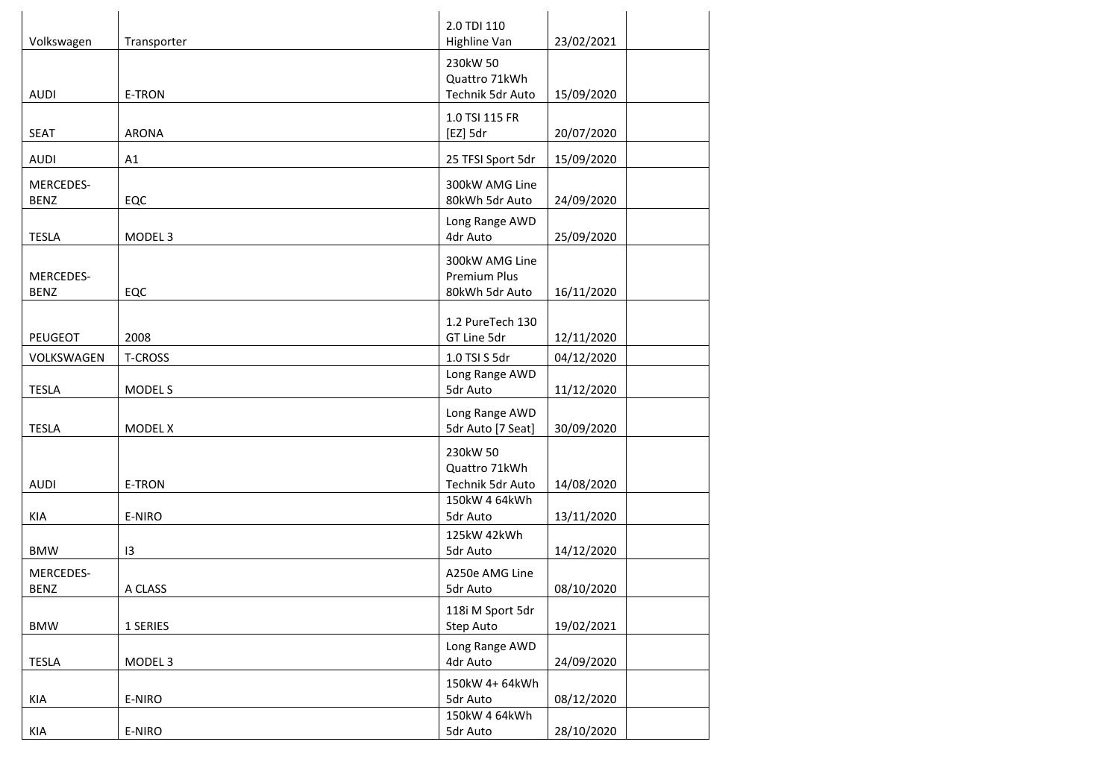| Volkswagen   | Transporter        | 2.0 TDI 110<br>Highline Van   | 23/02/2021 |
|--------------|--------------------|-------------------------------|------------|
|              |                    | 230kW 50                      |            |
|              |                    | Quattro 71kWh                 |            |
| <b>AUDI</b>  | <b>E-TRON</b>      | Technik 5dr Auto              | 15/09/2020 |
|              |                    | 1.0 TSI 115 FR                |            |
| <b>SEAT</b>  | <b>ARONA</b>       | [EZ] 5dr                      | 20/07/2020 |
| <b>AUDI</b>  | A1                 | 25 TFSI Sport 5dr             | 15/09/2020 |
| MERCEDES-    |                    | 300kW AMG Line                |            |
| <b>BENZ</b>  | EQC                | 80kWh 5dr Auto                | 24/09/2020 |
|              |                    | Long Range AWD                |            |
| <b>TESLA</b> | MODEL <sub>3</sub> | 4dr Auto                      | 25/09/2020 |
|              |                    | 300kW AMG Line                |            |
| MERCEDES-    |                    | Premium Plus                  |            |
| <b>BENZ</b>  | EQC                | 80kWh 5dr Auto                | 16/11/2020 |
|              |                    | 1.2 PureTech 130              |            |
| PEUGEOT      | 2008               | GT Line 5dr                   | 12/11/2020 |
| VOLKSWAGEN   | <b>T-CROSS</b>     | 1.0 TSI S 5dr                 | 04/12/2020 |
|              |                    | Long Range AWD                |            |
| <b>TESLA</b> | MODEL S            | 5dr Auto                      | 11/12/2020 |
|              |                    | Long Range AWD                |            |
| <b>TESLA</b> | MODEL X            | 5dr Auto [7 Seat]             | 30/09/2020 |
|              |                    | 230kW 50                      |            |
|              |                    | Quattro 71kWh                 |            |
| <b>AUDI</b>  | <b>E-TRON</b>      | Technik 5dr Auto              | 14/08/2020 |
|              |                    | 150kW 4 64kWh                 |            |
| KIA          | E-NIRO             | 5dr Auto                      | 13/11/2020 |
| <b>BMW</b>   | 13                 | 125kW 42kWh<br>5dr Auto       | 14/12/2020 |
|              |                    |                               |            |
| MERCEDES-    |                    | A250e AMG Line                |            |
| <b>BENZ</b>  | A CLASS            | 5dr Auto                      | 08/10/2020 |
| <b>BMW</b>   | 1 SERIES           | 118i M Sport 5dr<br>Step Auto | 19/02/2021 |
|              |                    |                               |            |
| <b>TESLA</b> | MODEL <sub>3</sub> | Long Range AWD<br>4dr Auto    | 24/09/2020 |
|              |                    | 150kW 4+64kWh                 |            |
| KIA          | E-NIRO             | 5dr Auto                      | 08/12/2020 |
|              |                    | 150kW 4 64kWh                 |            |
| KIA          | E-NIRO             | 5dr Auto                      | 28/10/2020 |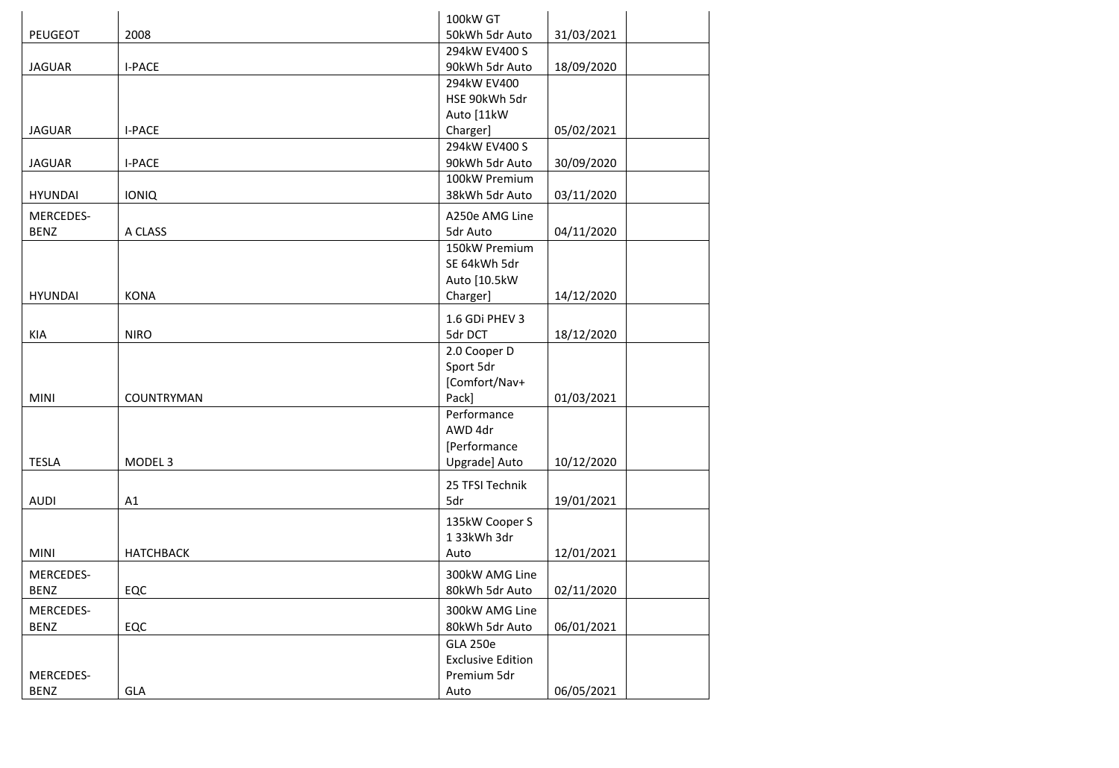|                |                    | 100kW GT                 |            |
|----------------|--------------------|--------------------------|------------|
| PEUGEOT        | 2008               | 50kWh 5dr Auto           | 31/03/2021 |
|                |                    | 294kW EV400 S            |            |
| <b>JAGUAR</b>  | <b>I-PACE</b>      | 90kWh 5dr Auto           | 18/09/2020 |
|                |                    | 294kW EV400              |            |
|                |                    | HSE 90kWh 5dr            |            |
|                |                    | Auto [11kW               |            |
| <b>JAGUAR</b>  | <b>I-PACE</b>      | Charger]                 | 05/02/2021 |
|                |                    | 294kW EV400 S            |            |
| <b>JAGUAR</b>  | <b>I-PACE</b>      | 90kWh 5dr Auto           | 30/09/2020 |
|                |                    | 100kW Premium            |            |
| <b>HYUNDAI</b> | <b>IONIQ</b>       | 38kWh 5dr Auto           | 03/11/2020 |
| MERCEDES-      |                    | A250e AMG Line           |            |
| <b>BENZ</b>    | A CLASS            | 5dr Auto                 | 04/11/2020 |
|                |                    | 150kW Premium            |            |
|                |                    | SE 64kWh 5dr             |            |
|                |                    | Auto [10.5kW             |            |
| <b>HYUNDAI</b> | <b>KONA</b>        | Charger]                 | 14/12/2020 |
|                |                    |                          |            |
|                |                    | 1.6 GDi PHEV 3           |            |
| <b>KIA</b>     | <b>NIRO</b>        | 5dr DCT                  | 18/12/2020 |
|                |                    | 2.0 Cooper D             |            |
|                |                    | Sport 5dr                |            |
|                |                    | [Comfort/Nav+            |            |
| <b>MINI</b>    | COUNTRYMAN         | Pack]                    | 01/03/2021 |
|                |                    | Performance              |            |
|                |                    | AWD 4dr                  |            |
|                |                    | [Performance             |            |
| <b>TESLA</b>   | MODEL <sub>3</sub> | Upgrade] Auto            | 10/12/2020 |
|                |                    | 25 TFSI Technik          |            |
| <b>AUDI</b>    | A1                 | 5dr                      | 19/01/2021 |
|                |                    | 135kW Cooper S           |            |
|                |                    | 133kWh3dr                |            |
| <b>MINI</b>    | <b>HATCHBACK</b>   | Auto                     | 12/01/2021 |
|                |                    |                          |            |
| MERCEDES-      |                    | 300kW AMG Line           |            |
| <b>BENZ</b>    | EQC                | 80kWh 5dr Auto           | 02/11/2020 |
| MERCEDES-      |                    | 300kW AMG Line           |            |
| <b>BENZ</b>    | EQC                | 80kWh 5dr Auto           | 06/01/2021 |
|                |                    | <b>GLA 250e</b>          |            |
|                |                    | <b>Exclusive Edition</b> |            |
| MERCEDES-      |                    | Premium 5dr              |            |
| <b>BENZ</b>    | GLA                | Auto                     | 06/05/2021 |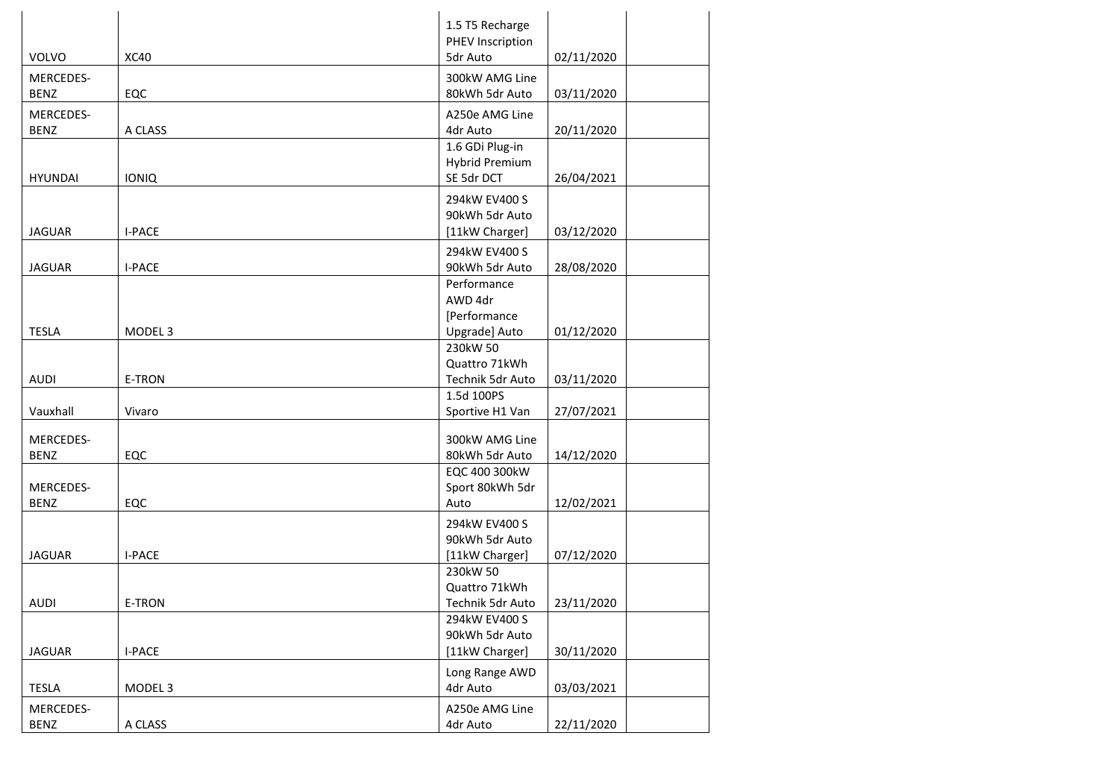|                |                    | 1.5 T5 Recharge       |            |
|----------------|--------------------|-----------------------|------------|
|                |                    | PHEV Inscription      |            |
| <b>VOLVO</b>   | <b>XC40</b>        | 5dr Auto              | 02/11/2020 |
| MERCEDES-      |                    | 300kW AMG Line        |            |
| <b>BENZ</b>    | EQC                | 80kWh 5dr Auto        | 03/11/2020 |
| MERCEDES-      |                    | A250e AMG Line        |            |
| <b>BENZ</b>    | A CLASS            | 4dr Auto              | 20/11/2020 |
|                |                    | 1.6 GDi Plug-in       |            |
|                |                    | <b>Hybrid Premium</b> |            |
| <b>HYUNDAI</b> | <b>IONIQ</b>       | SE 5dr DCT            | 26/04/2021 |
|                |                    | 294kW EV400 S         |            |
|                |                    | 90kWh 5dr Auto        |            |
| <b>JAGUAR</b>  | <b>I-PACE</b>      | [11kW Charger]        | 03/12/2020 |
|                |                    | 294kW EV400 S         |            |
| <b>JAGUAR</b>  | <b>I-PACE</b>      | 90kWh 5dr Auto        | 28/08/2020 |
|                |                    | Performance           |            |
|                |                    | AWD 4dr               |            |
|                |                    | [Performance          |            |
| <b>TESLA</b>   | MODEL <sub>3</sub> | Upgrade] Auto         | 01/12/2020 |
|                |                    | 230kW 50              |            |
|                |                    | Quattro 71kWh         |            |
| <b>AUDI</b>    | <b>E-TRON</b>      | Technik 5dr Auto      | 03/11/2020 |
|                |                    | 1.5d 100PS            |            |
| Vauxhall       | Vivaro             | Sportive H1 Van       | 27/07/2021 |
| MERCEDES-      |                    | 300kW AMG Line        |            |
| <b>BENZ</b>    | EQC                | 80kWh 5dr Auto        | 14/12/2020 |
|                |                    | EQC 400 300kW         |            |
| MERCEDES-      |                    | Sport 80kWh 5dr       |            |
| <b>BENZ</b>    | EQC                | Auto                  | 12/02/2021 |
|                |                    | 294kW EV400 S         |            |
|                |                    | 90kWh 5dr Auto        |            |
| <b>JAGUAR</b>  | <b>I-PACE</b>      | [11kW Charger]        | 07/12/2020 |
|                |                    | 230kW 50              |            |
|                |                    | Quattro 71kWh         |            |
| <b>AUDI</b>    | E-TRON             | Technik 5dr Auto      | 23/11/2020 |
|                |                    | 294kW EV400 S         |            |
|                |                    | 90kWh 5dr Auto        |            |
| <b>JAGUAR</b>  | <b>I-PACE</b>      | [11kW Charger]        | 30/11/2020 |
|                |                    | Long Range AWD        |            |
| <b>TESLA</b>   | MODEL <sub>3</sub> | 4dr Auto              | 03/03/2021 |
| MERCEDES-      |                    | A250e AMG Line        |            |
| <b>BENZ</b>    | A CLASS            | 4dr Auto              | 22/11/2020 |
|                |                    |                       |            |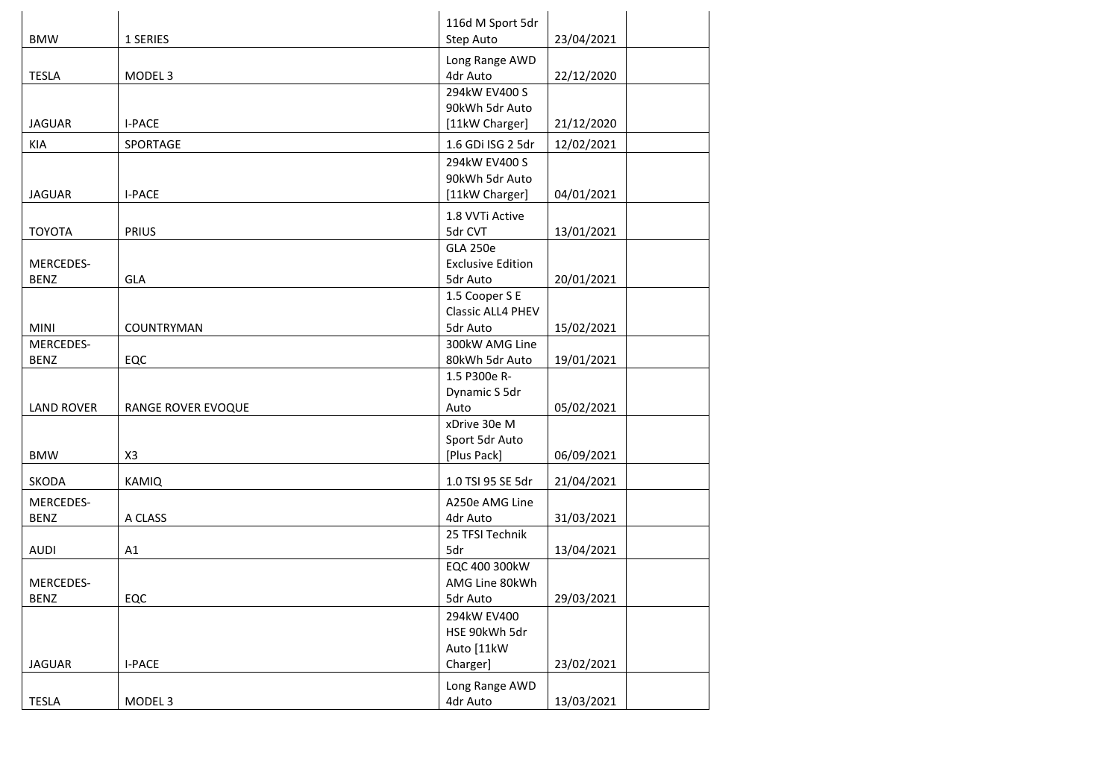| <b>BMW</b>               | 1 SERIES           | 116d M Sport 5dr<br>Step Auto                           | 23/04/2021 |
|--------------------------|--------------------|---------------------------------------------------------|------------|
| <b>TESLA</b>             | MODEL <sub>3</sub> | Long Range AWD<br>4dr Auto                              | 22/12/2020 |
| <b>JAGUAR</b>            | <b>I-PACE</b>      | 294kW EV400 S<br>90kWh 5dr Auto<br>[11kW Charger]       | 21/12/2020 |
| KIA                      | SPORTAGE           | 1.6 GDi ISG 2 5dr                                       | 12/02/2021 |
| <b>JAGUAR</b>            | <b>I-PACE</b>      | 294kW EV400 S<br>90kWh 5dr Auto<br>[11kW Charger]       | 04/01/2021 |
| <b>TOYOTA</b>            | <b>PRIUS</b>       | 1.8 VVTi Active<br>5dr CVT                              | 13/01/2021 |
| MERCEDES-<br><b>BENZ</b> | GLA                | <b>GLA 250e</b><br><b>Exclusive Edition</b><br>5dr Auto | 20/01/2021 |
| <b>MINI</b>              | COUNTRYMAN         | 1.5 Cooper S E<br><b>Classic ALL4 PHEV</b><br>5dr Auto  | 15/02/2021 |
| MERCEDES-<br><b>BENZ</b> | EQC                | 300kW AMG Line<br>80kWh 5dr Auto                        | 19/01/2021 |
| <b>LAND ROVER</b>        | RANGE ROVER EVOQUE | 1.5 P300e R-<br>Dynamic S 5dr<br>Auto                   | 05/02/2021 |
| <b>BMW</b>               | X <sub>3</sub>     | xDrive 30e M<br>Sport 5dr Auto<br>[Plus Pack]           | 06/09/2021 |
| <b>SKODA</b>             | <b>KAMIQ</b>       | 1.0 TSI 95 SE 5dr                                       | 21/04/2021 |
| MERCEDES-<br><b>BENZ</b> | A CLASS            | A250e AMG Line<br>4dr Auto                              | 31/03/2021 |
| <b>AUDI</b>              | A1                 | 25 TFSI Technik<br>5dr                                  | 13/04/2021 |
| MERCEDES-<br><b>BENZ</b> | EQC                | EQC 400 300kW<br>AMG Line 80kWh<br>5dr Auto             | 29/03/2021 |
| <b>JAGUAR</b>            | <b>I-PACE</b>      | 294kW EV400<br>HSE 90kWh 5dr<br>Auto [11kW<br>Charger]  | 23/02/2021 |
| TESLA                    | MODEL 3            | Long Range AWD<br>4dr Auto                              | 13/03/2021 |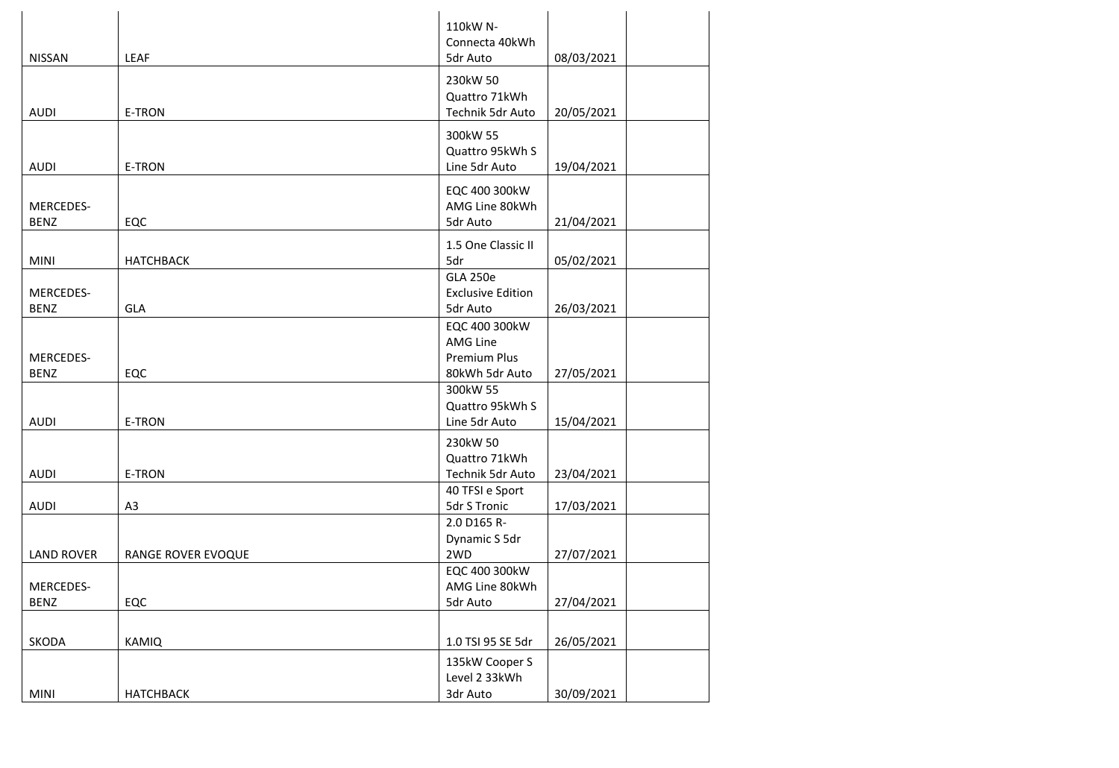|                                 |                    | 110kW N-<br>Connecta 40kWh                                         |            |
|---------------------------------|--------------------|--------------------------------------------------------------------|------------|
| <b>NISSAN</b>                   | LEAF               | 5dr Auto                                                           | 08/03/2021 |
| <b>AUDI</b>                     | E-TRON             | 230kW 50<br>Quattro 71kWh<br>Technik 5dr Auto                      | 20/05/2021 |
| <b>AUDI</b>                     | <b>E-TRON</b>      | 300kW 55<br>Quattro 95kWh S<br>Line 5dr Auto                       | 19/04/2021 |
| MERCEDES-<br><b>BENZ</b>        | EQC                | EQC 400 300kW<br>AMG Line 80kWh<br>5dr Auto                        | 21/04/2021 |
| <b>MINI</b>                     | <b>HATCHBACK</b>   | 1.5 One Classic II<br>5dr                                          | 05/02/2021 |
| MERCEDES-<br><b>BENZ</b>        | <b>GLA</b>         | <b>GLA 250e</b><br><b>Exclusive Edition</b><br>5dr Auto            | 26/03/2021 |
| MERCEDES-<br><b>BENZ</b>        | EQC                | EQC 400 300kW<br>AMG Line<br><b>Premium Plus</b><br>80kWh 5dr Auto | 27/05/2021 |
| <b>AUDI</b>                     | <b>E-TRON</b>      | 300kW 55<br>Quattro 95kWh S<br>Line 5dr Auto                       | 15/04/2021 |
| <b>AUDI</b>                     | E-TRON             | 230kW 50<br>Quattro 71kWh<br>Technik 5dr Auto                      | 23/04/2021 |
| <b>AUDI</b>                     | A <sub>3</sub>     | 40 TFSI e Sport<br>5dr S Tronic                                    | 17/03/2021 |
| <b>LAND ROVER</b>               | RANGE ROVER EVOQUE | 2.0 D165 R-<br>Dynamic S 5dr<br>2WD                                | 27/07/2021 |
| <b>MERCEDES-</b><br><b>BENZ</b> | EQC                | EQC 400 300kW<br>AMG Line 80kWh<br>5dr Auto                        | 27/04/2021 |
| SKODA                           | <b>KAMIQ</b>       | 1.0 TSI 95 SE 5dr                                                  | 26/05/2021 |
| MINI                            | <b>НАТСНВАСК</b>   | 135kW Cooper S<br>Level 2 33kWh<br>3dr Auto                        | 30/09/2021 |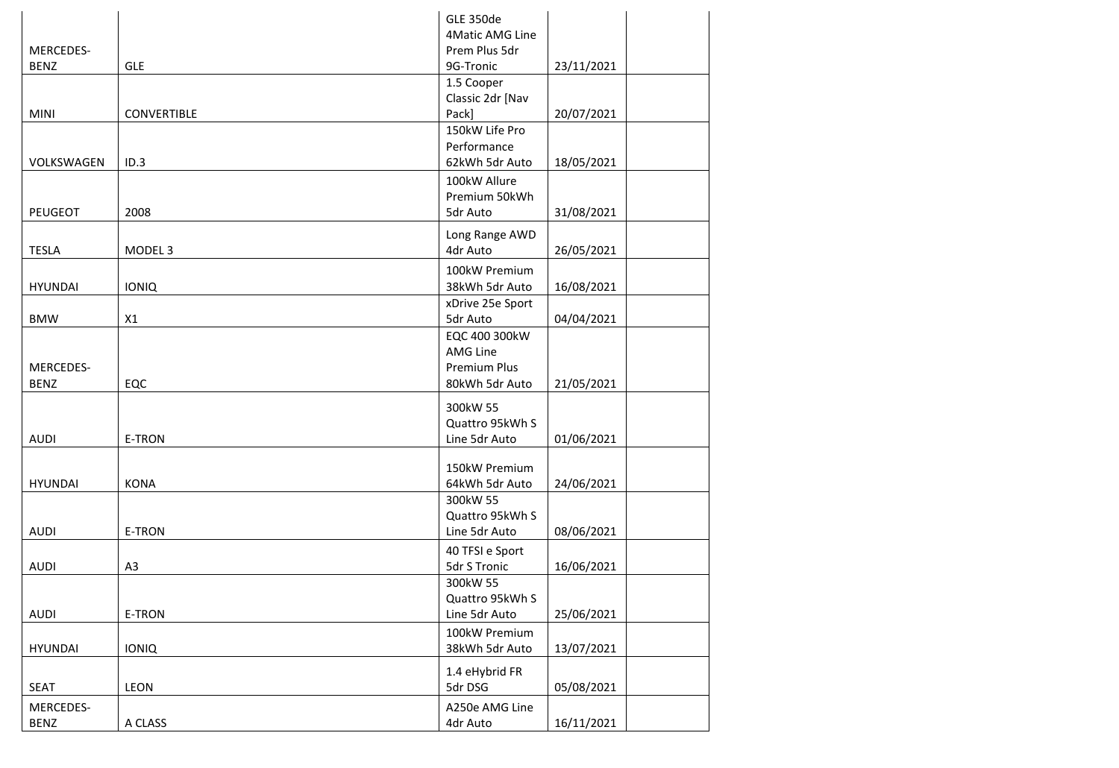|                  |                    | <b>GLE 350de</b>                 |            |
|------------------|--------------------|----------------------------------|------------|
| MERCEDES-        |                    | 4Matic AMG Line<br>Prem Plus 5dr |            |
| <b>BENZ</b>      | <b>GLE</b>         | 9G-Tronic                        | 23/11/2021 |
|                  |                    | 1.5 Cooper                       |            |
|                  |                    | Classic 2dr [Nav                 |            |
| <b>MINI</b>      | <b>CONVERTIBLE</b> | Pack]                            | 20/07/2021 |
|                  |                    | 150kW Life Pro                   |            |
| VOLKSWAGEN       | ID.3               | Performance<br>62kWh 5dr Auto    | 18/05/2021 |
|                  |                    | 100kW Allure                     |            |
|                  |                    | Premium 50kWh                    |            |
| PEUGEOT          | 2008               | 5dr Auto                         | 31/08/2021 |
|                  |                    | Long Range AWD                   |            |
| <b>TESLA</b>     | MODEL <sub>3</sub> | 4dr Auto                         | 26/05/2021 |
|                  |                    | 100kW Premium                    |            |
| <b>HYUNDAI</b>   | <b>IONIQ</b>       | 38kWh 5dr Auto                   | 16/08/2021 |
|                  |                    | xDrive 25e Sport                 |            |
| <b>BMW</b>       | X1                 | 5dr Auto                         | 04/04/2021 |
|                  |                    | EQC 400 300kW                    |            |
| <b>MERCEDES-</b> |                    | AMG Line<br><b>Premium Plus</b>  |            |
| <b>BENZ</b>      | EQC                | 80kWh 5dr Auto                   | 21/05/2021 |
|                  |                    |                                  |            |
|                  |                    | 300kW 55<br>Quattro 95kWh S      |            |
| <b>AUDI</b>      | E-TRON             | Line 5dr Auto                    | 01/06/2021 |
|                  |                    |                                  |            |
|                  |                    | 150kW Premium                    |            |
| <b>HYUNDAI</b>   | <b>KONA</b>        | 64kWh 5dr Auto                   | 24/06/2021 |
|                  |                    | 300kW 55<br>Quattro 95kWh S      |            |
| <b>AUDI</b>      | E-TRON             | Line 5dr Auto                    | 08/06/2021 |
|                  |                    | 40 TFSI e Sport                  |            |
| <b>AUDI</b>      | A <sub>3</sub>     | 5dr S Tronic                     | 16/06/2021 |
|                  |                    | 300kW 55                         |            |
|                  |                    | Quattro 95kWh S                  |            |
| <b>AUDI</b>      | E-TRON             | Line 5dr Auto                    | 25/06/2021 |
|                  |                    | 100kW Premium                    |            |
| <b>HYUNDAI</b>   | <b>IONIQ</b>       | 38kWh 5dr Auto                   | 13/07/2021 |
|                  |                    | 1.4 eHybrid FR                   |            |
| <b>SEAT</b>      | LEON               | 5dr DSG                          | 05/08/2021 |
| MERCEDES-        |                    | A250e AMG Line                   |            |
| <b>BENZ</b>      | A CLASS            | 4dr Auto                         | 16/11/2021 |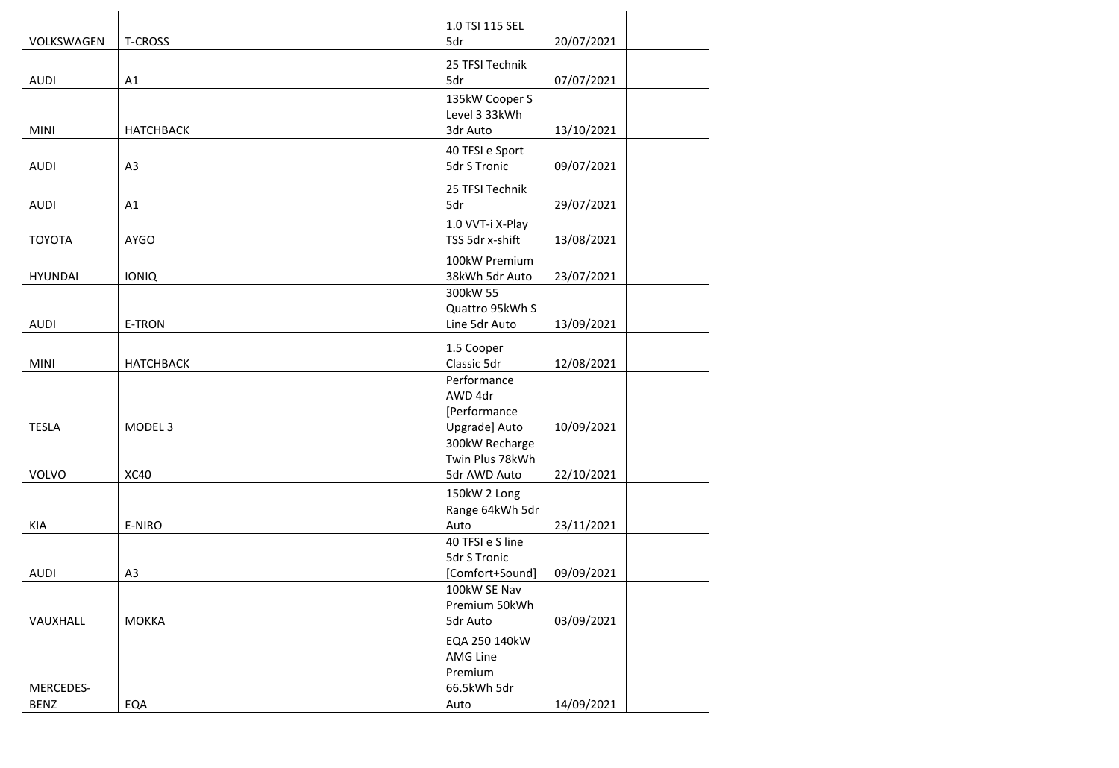|                |                    | 1.0 TSI 115 SEL          |            |
|----------------|--------------------|--------------------------|------------|
| VOLKSWAGEN     | <b>T-CROSS</b>     | 5dr                      | 20/07/2021 |
|                |                    | 25 TFSI Technik          |            |
| <b>AUDI</b>    | A1                 | 5dr                      | 07/07/2021 |
|                |                    | 135kW Cooper S           |            |
|                |                    | Level 3 33kWh            |            |
| <b>MINI</b>    | <b>НАТСНВАСК</b>   | 3dr Auto                 | 13/10/2021 |
|                |                    | 40 TFSI e Sport          |            |
| <b>AUDI</b>    | A <sub>3</sub>     | 5dr S Tronic             | 09/07/2021 |
|                |                    | 25 TFSI Technik          |            |
| <b>AUDI</b>    | A1                 | 5dr                      | 29/07/2021 |
|                |                    | 1.0 VVT-i X-Play         |            |
| <b>TOYOTA</b>  | <b>AYGO</b>        | TSS 5dr x-shift          | 13/08/2021 |
|                |                    | 100kW Premium            |            |
| <b>HYUNDAI</b> | <b>IONIQ</b>       | 38kWh 5dr Auto           | 23/07/2021 |
|                |                    | 300kW 55                 |            |
|                |                    | Quattro 95kWh S          |            |
| <b>AUDI</b>    | E-TRON             | Line 5dr Auto            | 13/09/2021 |
|                |                    | 1.5 Cooper               |            |
| <b>MINI</b>    | <b>НАТСНВАСК</b>   | Classic 5dr              | 12/08/2021 |
|                |                    | Performance              |            |
|                |                    | AWD 4dr                  |            |
|                |                    | [Performance             |            |
| <b>TESLA</b>   | MODEL <sub>3</sub> | Upgrade] Auto            | 10/09/2021 |
|                |                    | 300kW Recharge           |            |
|                |                    | Twin Plus 78kWh          |            |
| VOLVO          | <b>XC40</b>        | 5dr AWD Auto             | 22/10/2021 |
|                |                    | 150kW 2 Long             |            |
|                |                    | Range 64kWh 5dr          |            |
| KIA            | E-NIRO             | Auto<br>40 TFSI e S line | 23/11/2021 |
|                |                    | 5dr S Tronic             |            |
| <b>AUDI</b>    | A <sub>3</sub>     | [Comfort+Sound]          | 09/09/2021 |
|                |                    | 100kW SE Nav             |            |
|                |                    | Premium 50kWh            |            |
| VAUXHALL       | <b>MOKKA</b>       | 5dr Auto                 | 03/09/2021 |
|                |                    | EQA 250 140kW            |            |
|                |                    | AMG Line                 |            |
|                |                    | Premium                  |            |
| MERCEDES-      |                    | 66.5kWh 5dr              |            |
| <b>BENZ</b>    | EQA                | Auto                     | 14/09/2021 |